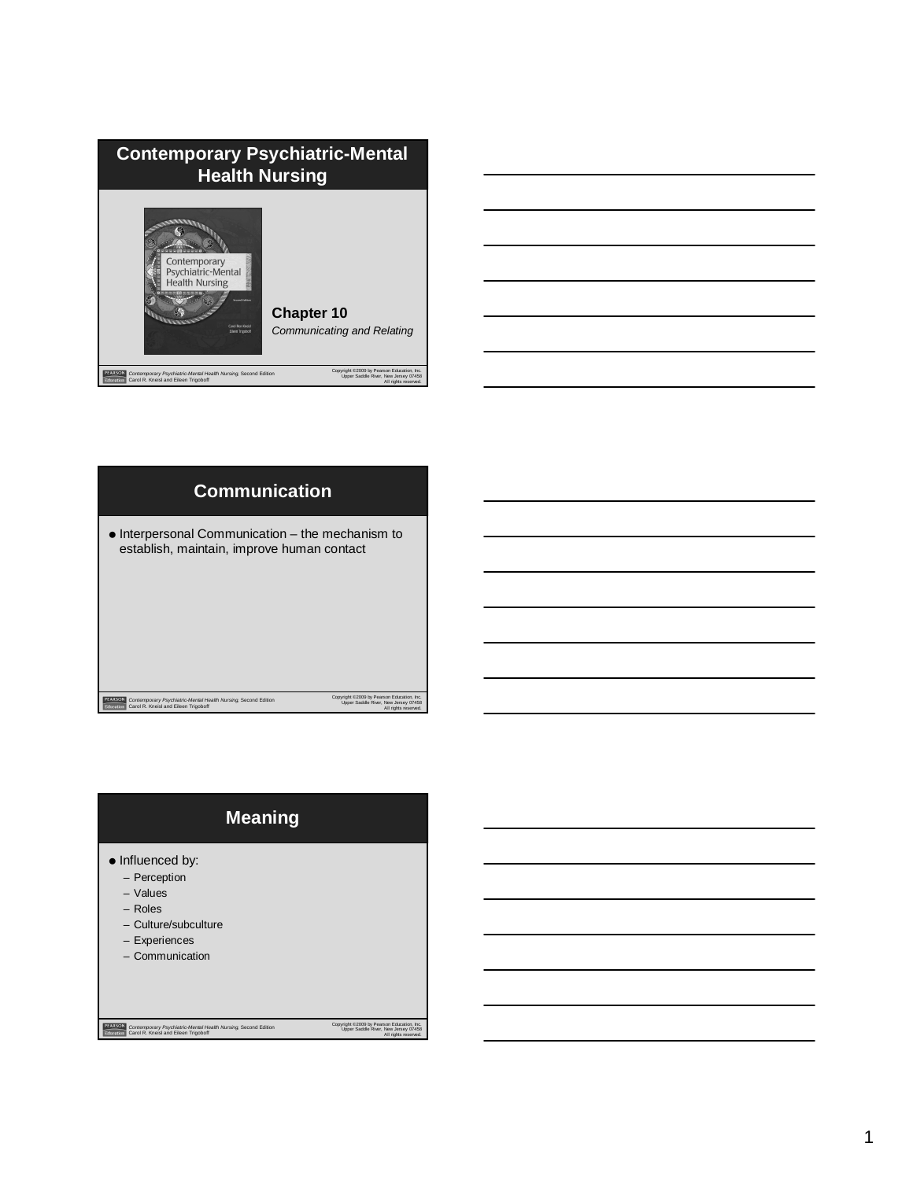| <b>Contemporary Psychiatric-Mental</b><br><b>Health Nursing</b>                                                                |                                                                                                            |  |
|--------------------------------------------------------------------------------------------------------------------------------|------------------------------------------------------------------------------------------------------------|--|
| Contemporary<br>Psychiatric-Mental<br><b>Health Nursing</b><br><b>Cornel Fabrics</b><br>Carol Ren Kneisl<br>Eileen Trigoboff   | <b>Chapter 10</b><br><b>Communicating and Relating</b>                                                     |  |
| PEARSON<br>Contemporary Psychiatric-Mental Health Nursing, Second Edition<br>Education<br>Carol R. Kneisl and Eileen Trigoboff | Copyright @2009 by Pearson Education, Inc.<br>Upper Saddle River, New Jersey 07458<br>All rights reserved. |  |





# **Meaning**

- $\bullet$  Influenced by:
	- Perception
	- Values
	- Roles
	- Culture/subculture
	- Experiences
	- Communication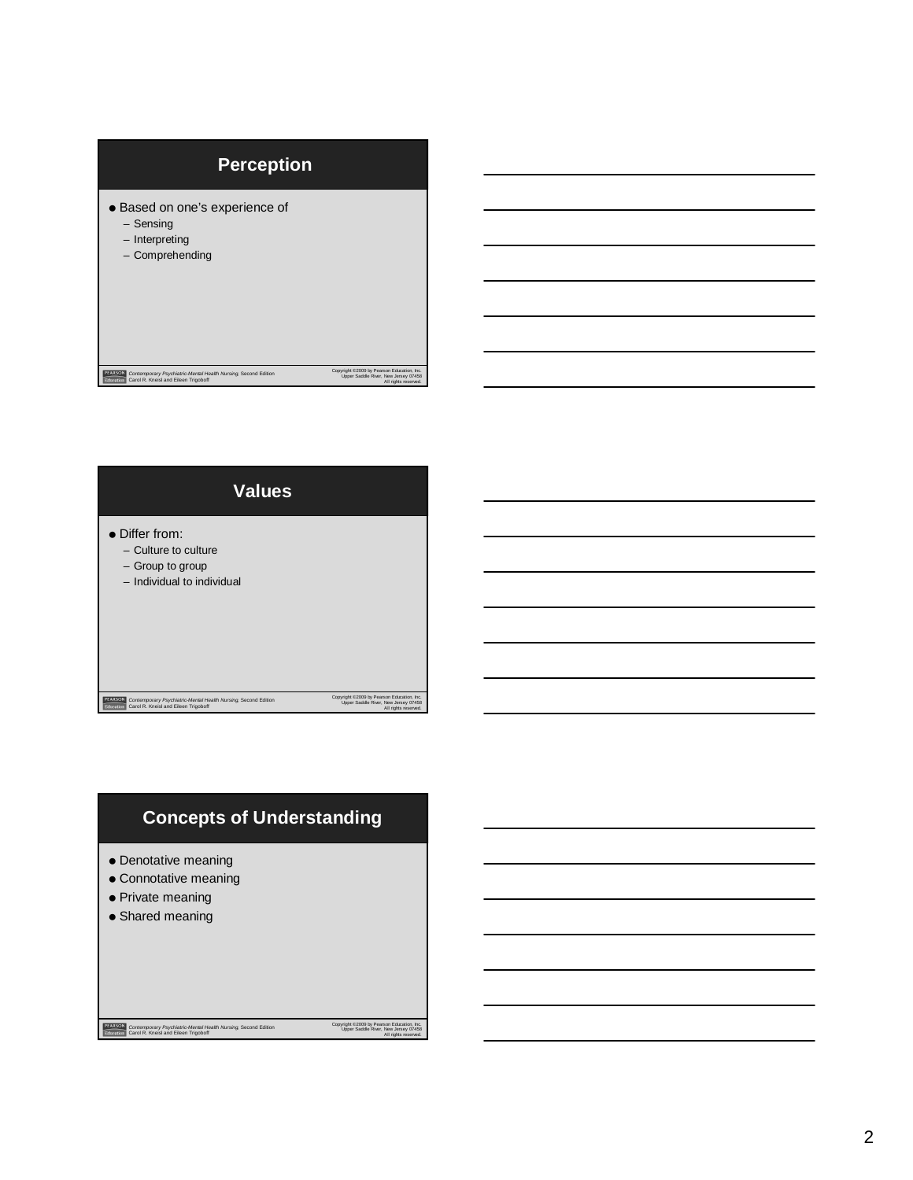# Copyright ©2009 by Pearson Education, Inc. Upper Saddle River, New Jersey 07458 All rights reserved. *Contemporary Psychiatric-Mental Health Nursing,* Second Edition Carol R. Kneisl and Eileen Trigoboff **Perception**  Based on one's experience of – Sensing – Interpreting – Comprehending



# **Concepts of Understanding**

- Denotative meaning
- Connotative meaning
- Private meaning
- Shared meaning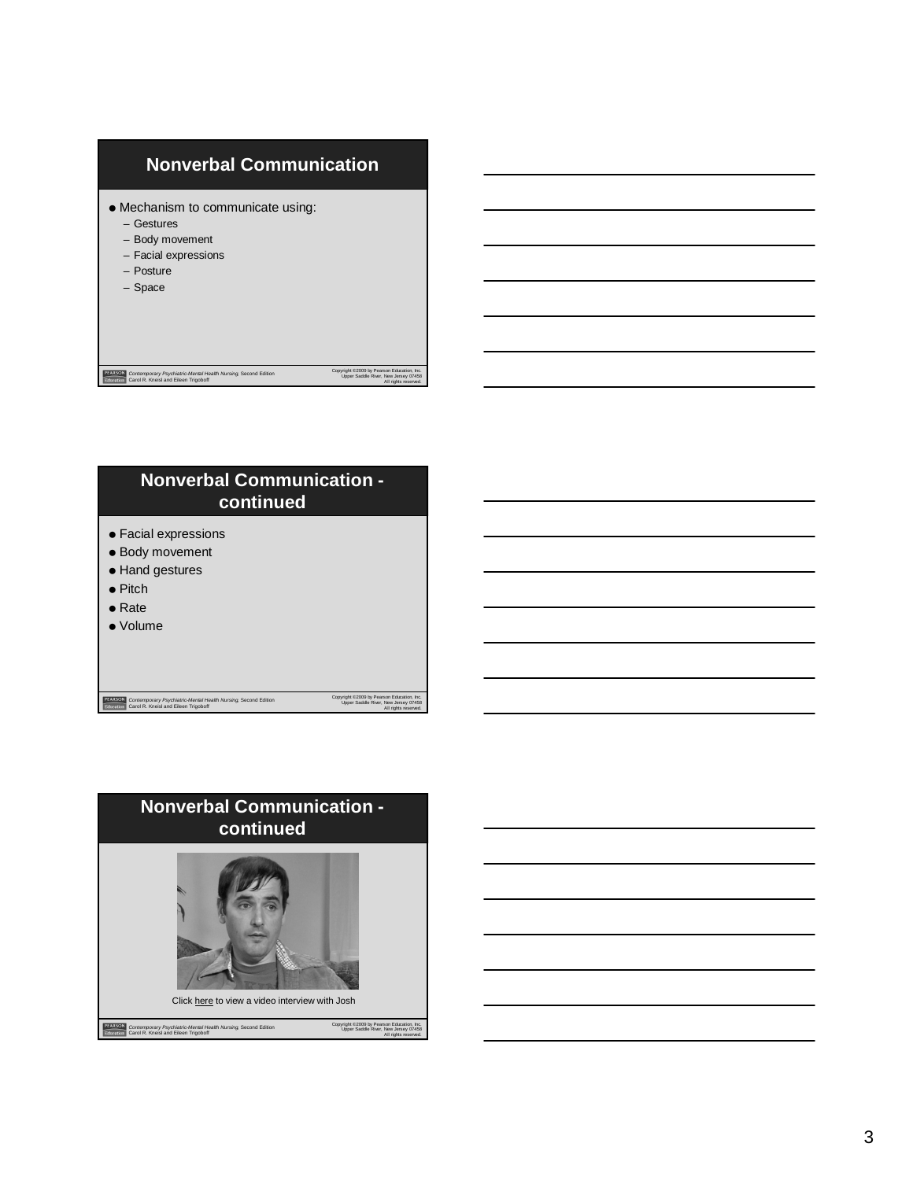



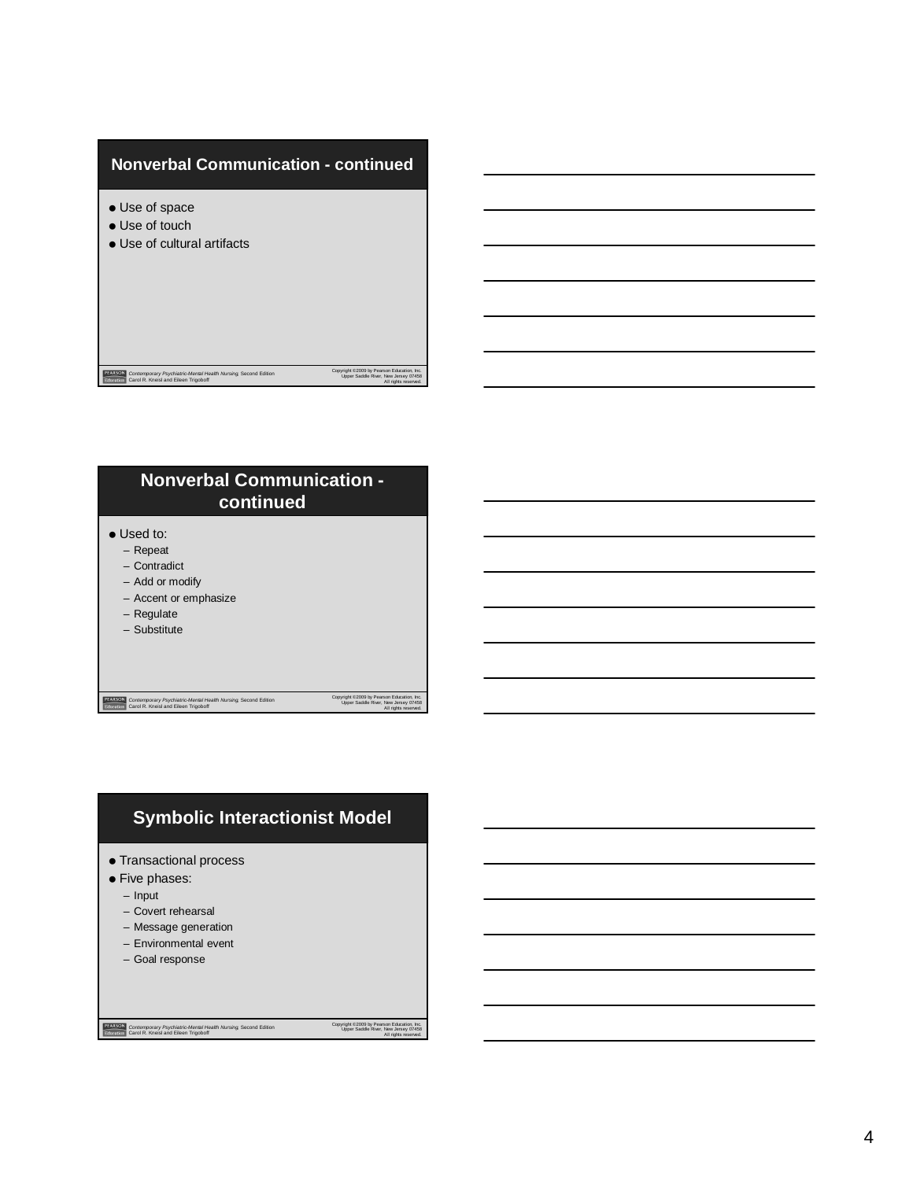#### **Nonverbal Communication - continued**

- Use of space
- Use of touch
- Use of cultural artifacts

*Contemporary Psychiatric-Mental Health Nursing,* Second Edition Carol R. Kneisl and Eileen Trigoboff

# **Nonverbal Communication continued**

- Used to:
	- Repeat
	- Contradict
	- Add or modify
	- Accent or emphasize
	- Regulate

– Substitute

*Contemporary Psychiatric-Mental Health Nursing,* Second Edition Carol R. Kneisl and Eileen Trigoboff

Copyright ©2009 by Pearson Education, Inc. Upper Saddle River, New Jersey 07458 All rights reserved.

Copyright ©2009 by Pearson Education, Inc. Upper Saddle River, New Jersey 07458 All rights reserved.

## **Symbolic Interactionist Model**

- Transactional process
- **•** Five phases:
	- Input
	- Covert rehearsal
	- Message generation
	- Environmental event
	- Goal response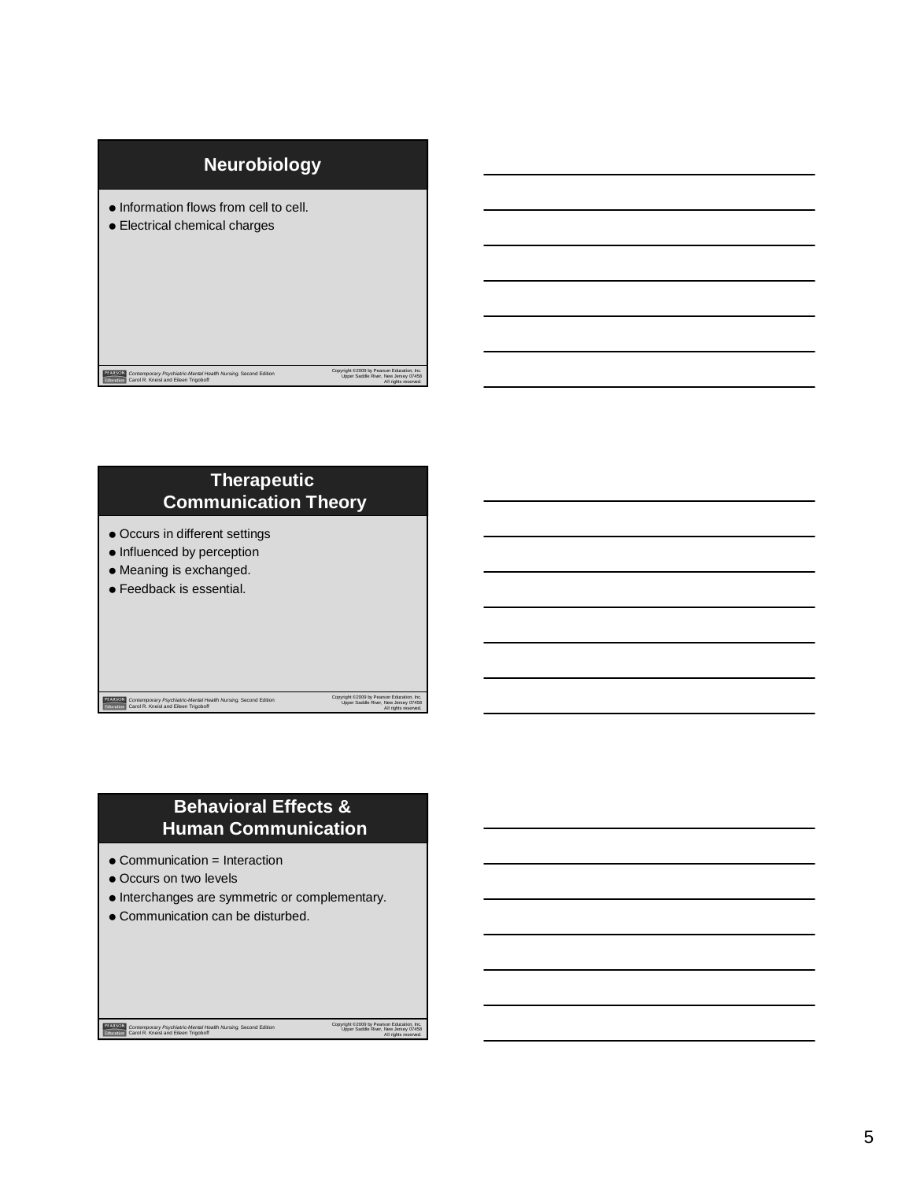



### **Behavioral Effects & Human Communication**

- Communication = Interaction
- Occurs on two levels
- $\bullet$  Interchanges are symmetric or complementary.
- Communication can be disturbed.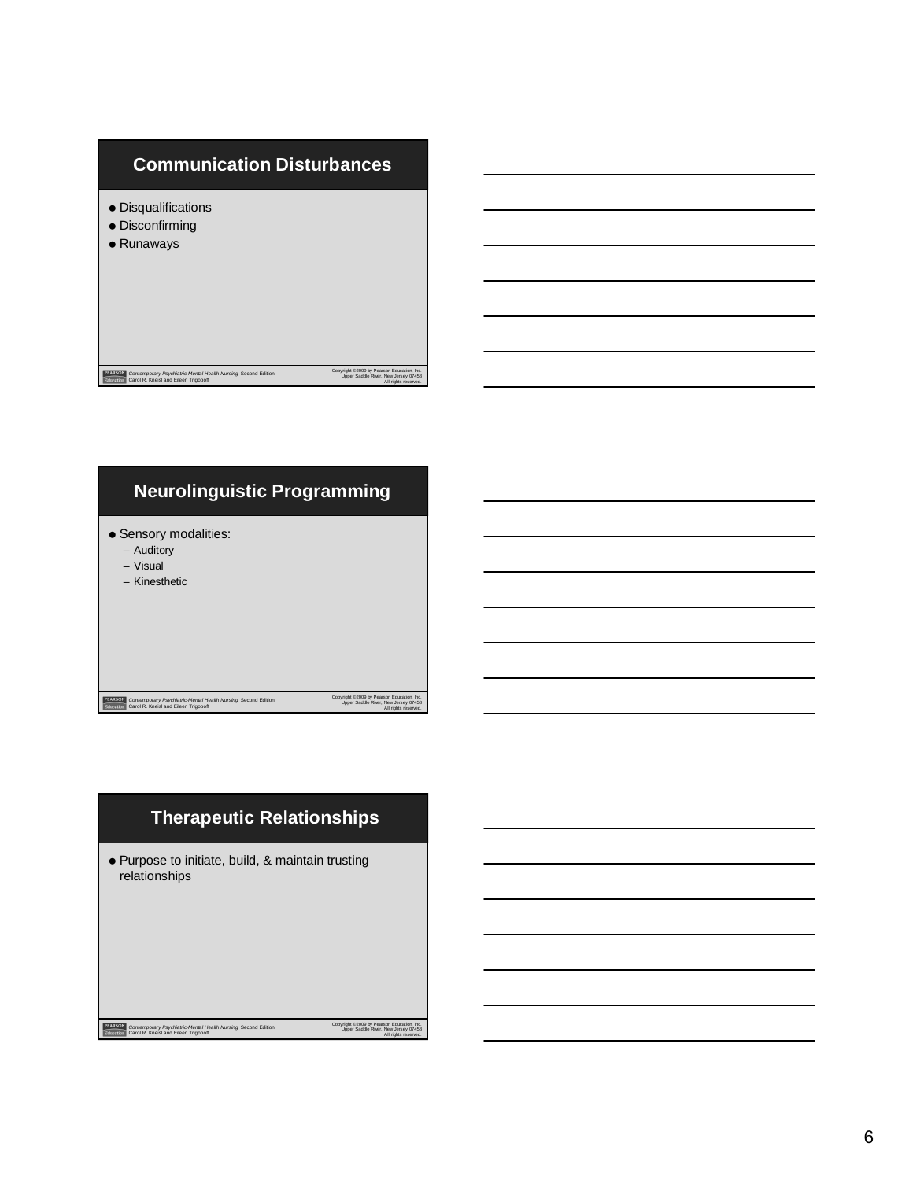



### **Therapeutic Relationships**

Purpose to initiate, build, & maintain trusting relationships

*Contemporary Psychiatric-Mental Health Nursing,* Second Edition Carol R. Kneisl and Eileen Trigoboff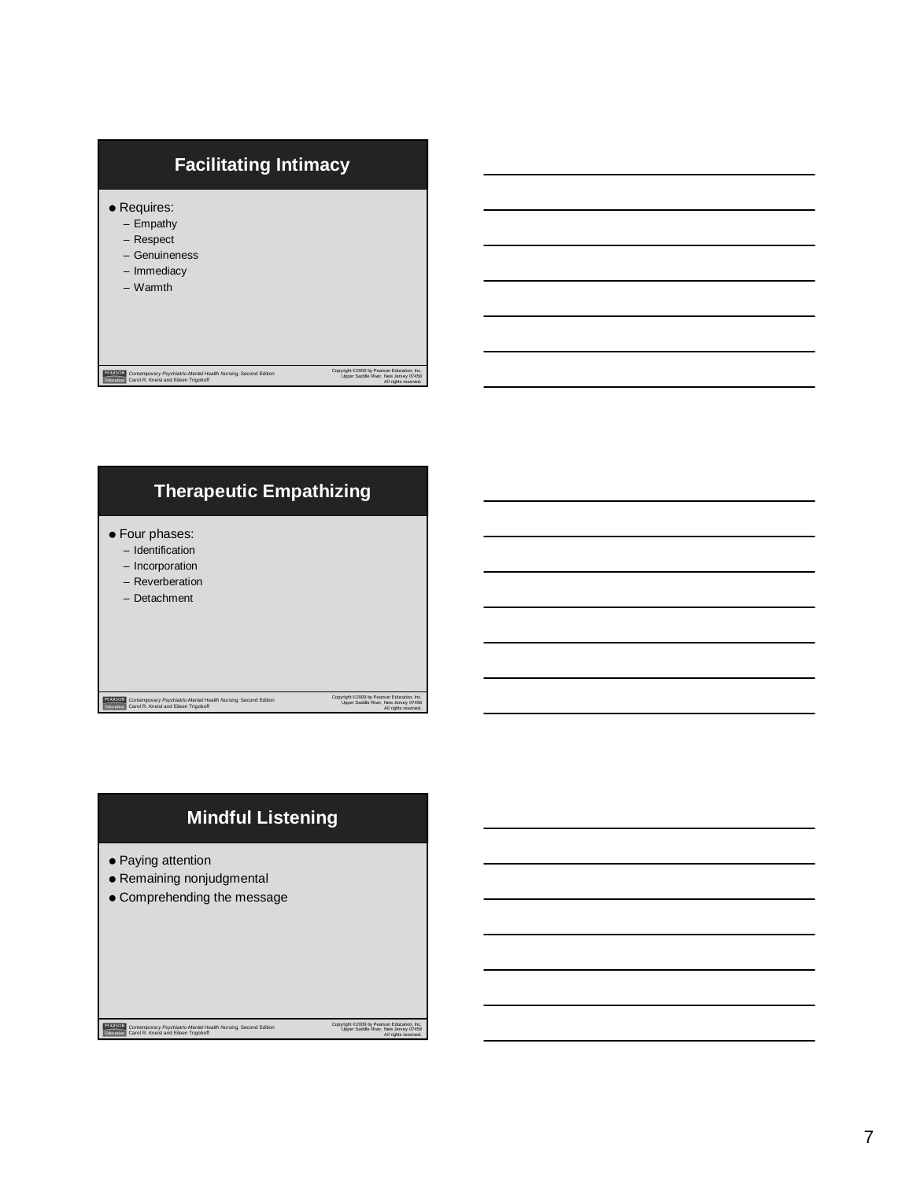



## **Mindful Listening**

- Paying attention
- Remaining nonjudgmental
- Comprehending the message

*Contemporary Psychiatric-Mental Health Nursing,* Second Edition Carol R. Kneisl and Eileen Trigoboff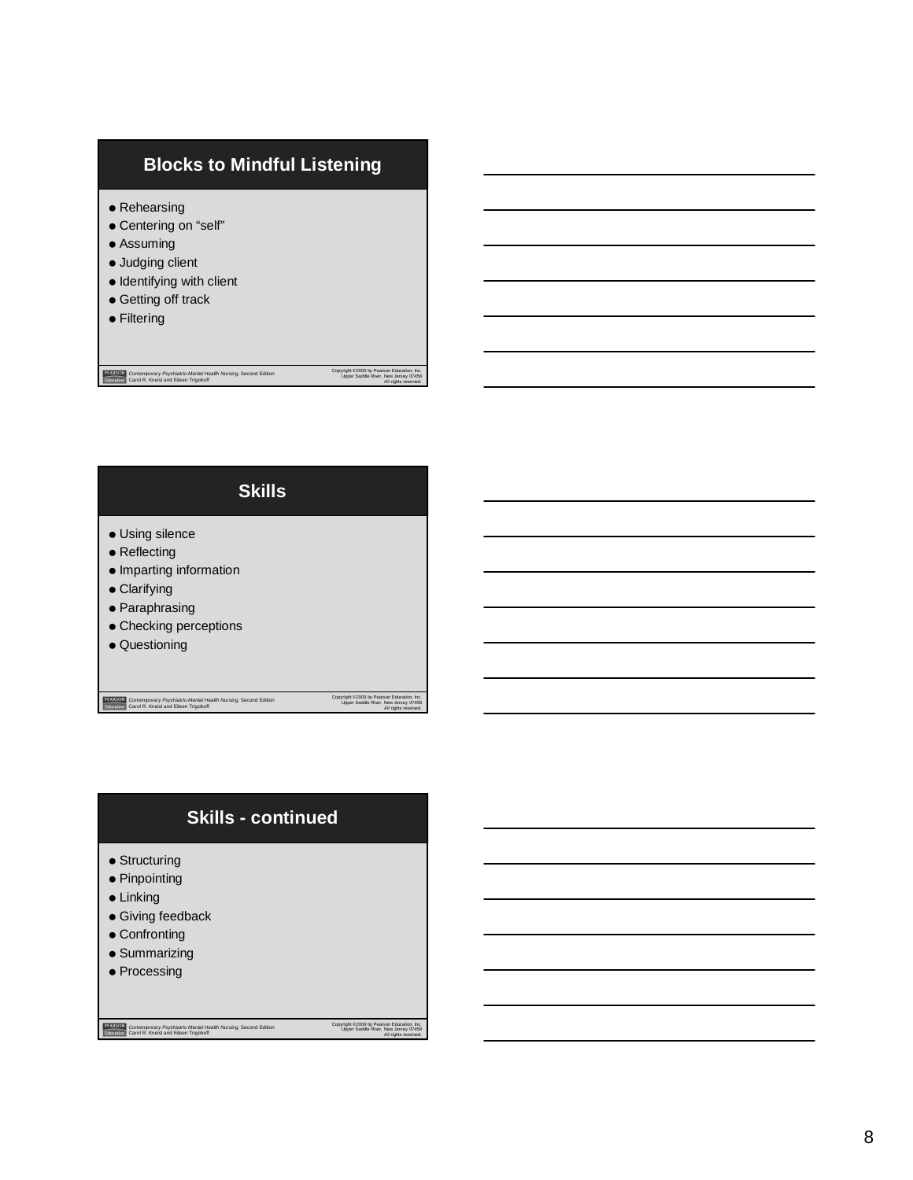### **Blocks to Mindful Listening**

- Rehearsing
- Centering on "self"
- Assuming
- $\bullet$  Judging client
- $\bullet$  Identifying with client

*Contemporary Psychiatric-Mental Health Nursing,* Second Edition Carol R. Kneisl and Eileen Trigoboff

*Contemporary Psychiatric-Mental Health Nursing,* Second Edition Carol R. Kneisl and Eileen Trigoboff

- **Getting off track**
- **•** Filtering

| <b>Skills</b>                                                                                                                                           |  |  |
|---------------------------------------------------------------------------------------------------------------------------------------------------------|--|--|
| • Using silence<br>$\bullet$ Reflecting<br>• Imparting information<br>$\bullet$ Clarifying<br>• Paraphrasing<br>• Checking perceptions<br>• Questioning |  |  |

Copyright ©2009 by Pearson Education, Inc. Upper Saddle River, New Jersey 07458 All rights reserved.

Copyright ©2009 by Pearson Education, Inc. Upper Saddle River, New Jersey 07458 All rights reserved.

## **Skills - continued**

- Structuring
- Pinpointing
- Linking
- Giving feedback
- Confronting
- **•** Summarizing
- Processing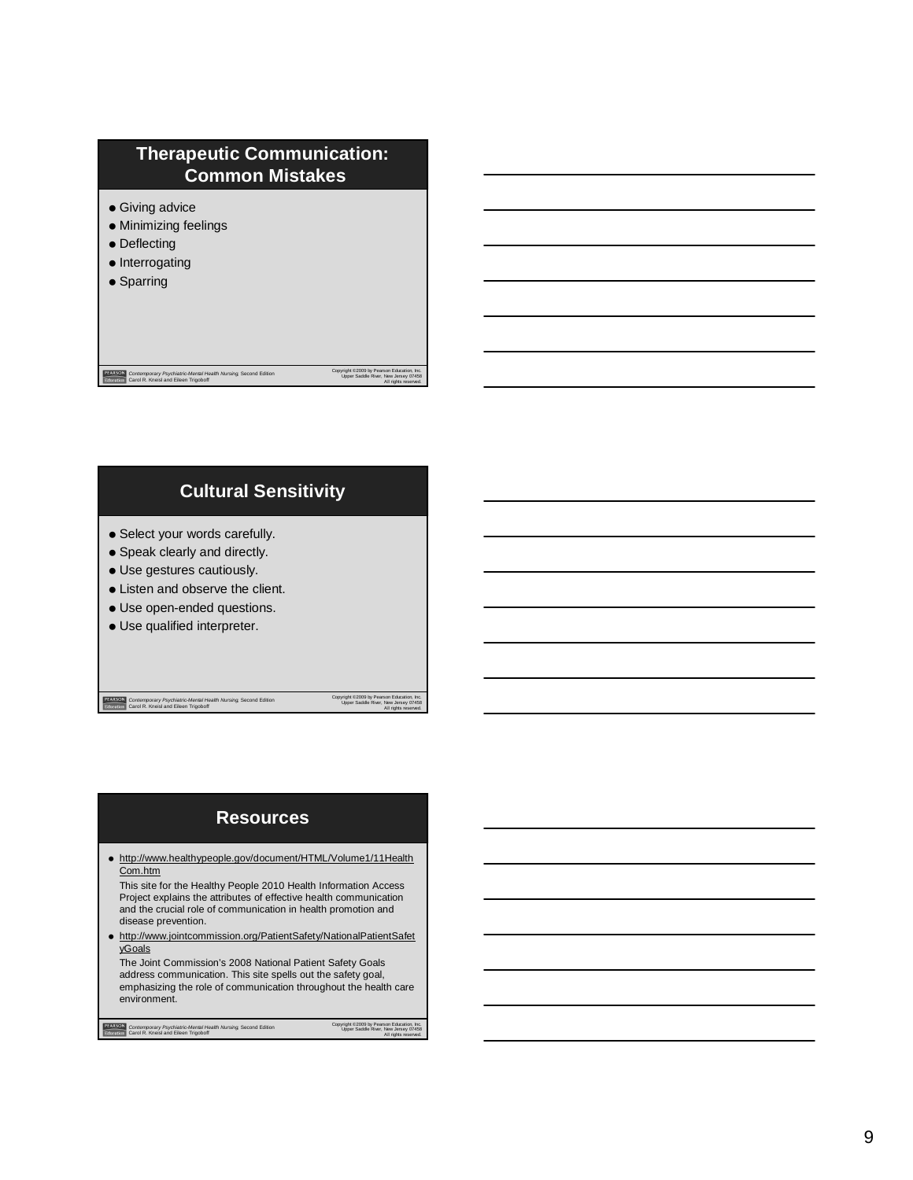# **Therapeutic Communication: Common Mistakes**

- **Giving advice**
- Minimizing feelings
- Deflecting
- Interrogating
- Sparring

# **Cultural Sensitivity**

*Contemporary Psychiatric-Mental Health Nursing,* Second Edition Carol R. Kneisl and Eileen Trigoboff

- Select your words carefully.
- Speak clearly and directly.
- Use gestures cautiously.
- Listen and observe the client.
- Use open-ended questions.
- Use qualified interpreter.

*Contemporary Psychiatric-Mental Health Nursing,* Second Edition Carol R. Kneisl and Eileen Trigoboff

Copyright ©2009 by Pearson Education, Inc. Upper Saddle River, New Jersey 07458 All rights reserved.

Copyright ©2009 by Pearson Education, Inc. Upper Saddle River, New Jersey 07458 All rights reserved.

#### **Resources**

 http://www.healthypeople.gov/document/HTML/Volume1/11Health Com.htm

This site for the Healthy People 2010 Health Information Access Project explains the attributes of effective health communication and the crucial role of communication in health promotion and disease prevention.

 http://www.jointcommission.org/PatientSafety/NationalPatientSafet yGoals

The Joint Commission's 2008 National Patient Safety Goals address communication. This site spells out the safety goal, emphasizing the role of communication throughout the health care environment.

Copyright ©2009 by Pearson Education, Inc. Upper Saddle River, New Jersey 07458 All rights reserved. *Contemporary Psychiatric-Mental Health Nursing,* Second Edition Carol R. Kneisl and Eileen Trigoboff